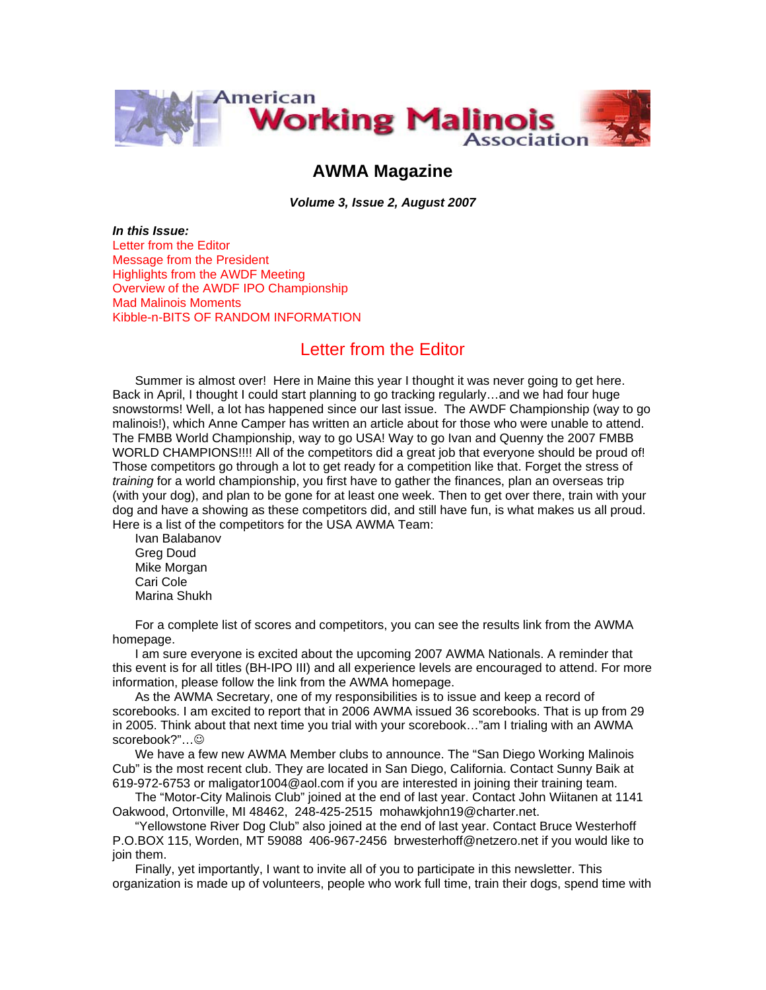

## **AWMA Magazine**

*Volume 3, Issue 2, August 2007* 

*In this Issue:*  Letter from the Editor Message from the President Highlights from the AWDF Meeting Overview of the AWDF IPO Championship Mad Malinois Moments Kibble-n-BITS OF RANDOM INFORMATION

## Letter from the Editor

Summer is almost over! Here in Maine this year I thought it was never going to get here. Back in April, I thought I could start planning to go tracking regularly…and we had four huge snowstorms! Well, a lot has happened since our last issue. The AWDF Championship (way to go malinois!), which Anne Camper has written an article about for those who were unable to attend. The FMBB World Championship, way to go USA! Way to go Ivan and Quenny the 2007 FMBB WORLD CHAMPIONS!!!! All of the competitors did a great job that everyone should be proud of! Those competitors go through a lot to get ready for a competition like that. Forget the stress of *training* for a world championship, you first have to gather the finances, plan an overseas trip (with your dog), and plan to be gone for at least one week. Then to get over there, train with your dog and have a showing as these competitors did, and still have fun, is what makes us all proud. Here is a list of the competitors for the USA AWMA Team:

Ivan Balabanov Greg Doud Mike Morgan Cari Cole Marina Shukh

For a complete list of scores and competitors, you can see the results link from the AWMA homepage.

I am sure everyone is excited about the upcoming 2007 AWMA Nationals. A reminder that this event is for all titles (BH-IPO III) and all experience levels are encouraged to attend. For more information, please follow the link from the AWMA homepage.

As the AWMA Secretary, one of my responsibilities is to issue and keep a record of scorebooks. I am excited to report that in 2006 AWMA issued 36 scorebooks. That is up from 29 in 2005. Think about that next time you trial with your scorebook…"am I trialing with an AWMA scorebook?"…☺

We have a few new AWMA Member clubs to announce. The "San Diego Working Malinois Cub" is the most recent club. They are located in San Diego, California. Contact Sunny Baik at 619-972-6753 or maligator1004@aol.com if you are interested in joining their training team.

The "Motor-City Malinois Club" joined at the end of last year. Contact John Wiitanen at 1141 Oakwood, Ortonville, MI 48462, 248-425-2515 mohawkjohn19@charter.net.

"Yellowstone River Dog Club" also joined at the end of last year. Contact Bruce Westerhoff P.O.BOX 115, Worden, MT 59088 406-967-2456 brwesterhoff@netzero.net if you would like to join them.

Finally, yet importantly, I want to invite all of you to participate in this newsletter. This organization is made up of volunteers, people who work full time, train their dogs, spend time with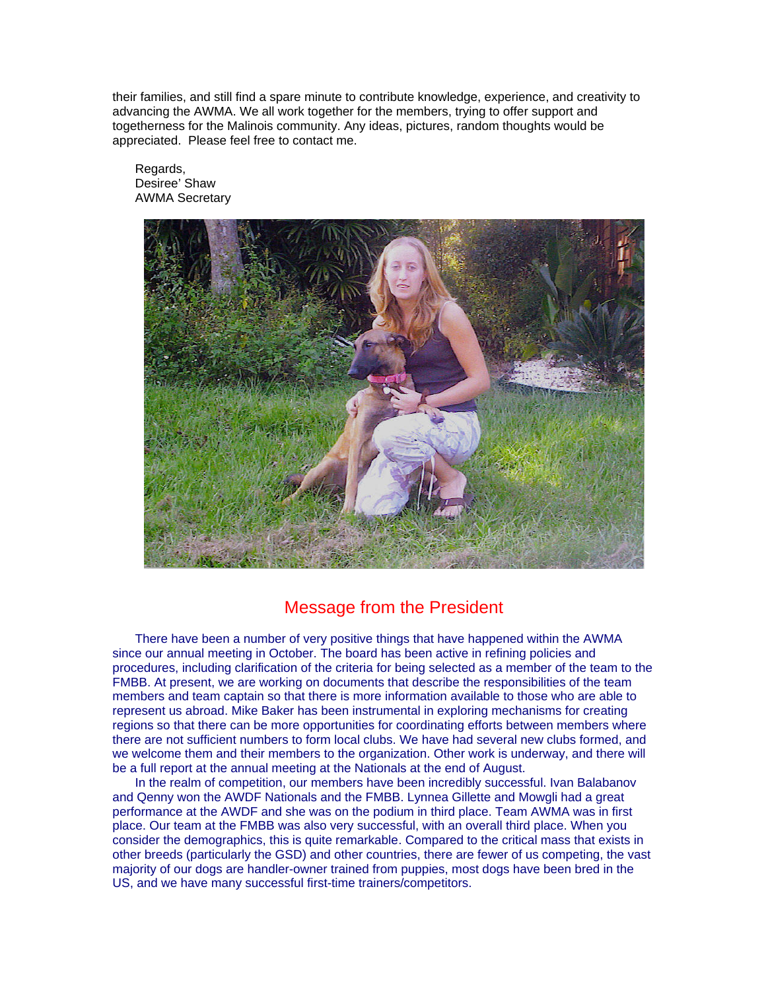their families, and still find a spare minute to contribute knowledge, experience, and creativity to advancing the AWMA. We all work together for the members, trying to offer support and togetherness for the Malinois community. Any ideas, pictures, random thoughts would be appreciated. Please feel free to contact me.

Regards, Desiree' Shaw AWMA Secretary



## Message from the President

There have been a number of very positive things that have happened within the AWMA since our annual meeting in October. The board has been active in refining policies and procedures, including clarification of the criteria for being selected as a member of the team to the FMBB. At present, we are working on documents that describe the responsibilities of the team members and team captain so that there is more information available to those who are able to represent us abroad. Mike Baker has been instrumental in exploring mechanisms for creating regions so that there can be more opportunities for coordinating efforts between members where there are not sufficient numbers to form local clubs. We have had several new clubs formed, and we welcome them and their members to the organization. Other work is underway, and there will be a full report at the annual meeting at the Nationals at the end of August.

In the realm of competition, our members have been incredibly successful. Ivan Balabanov and Qenny won the AWDF Nationals and the FMBB. Lynnea Gillette and Mowgli had a great performance at the AWDF and she was on the podium in third place. Team AWMA was in first place. Our team at the FMBB was also very successful, with an overall third place. When you consider the demographics, this is quite remarkable. Compared to the critical mass that exists in other breeds (particularly the GSD) and other countries, there are fewer of us competing, the vast majority of our dogs are handler-owner trained from puppies, most dogs have been bred in the US, and we have many successful first-time trainers/competitors.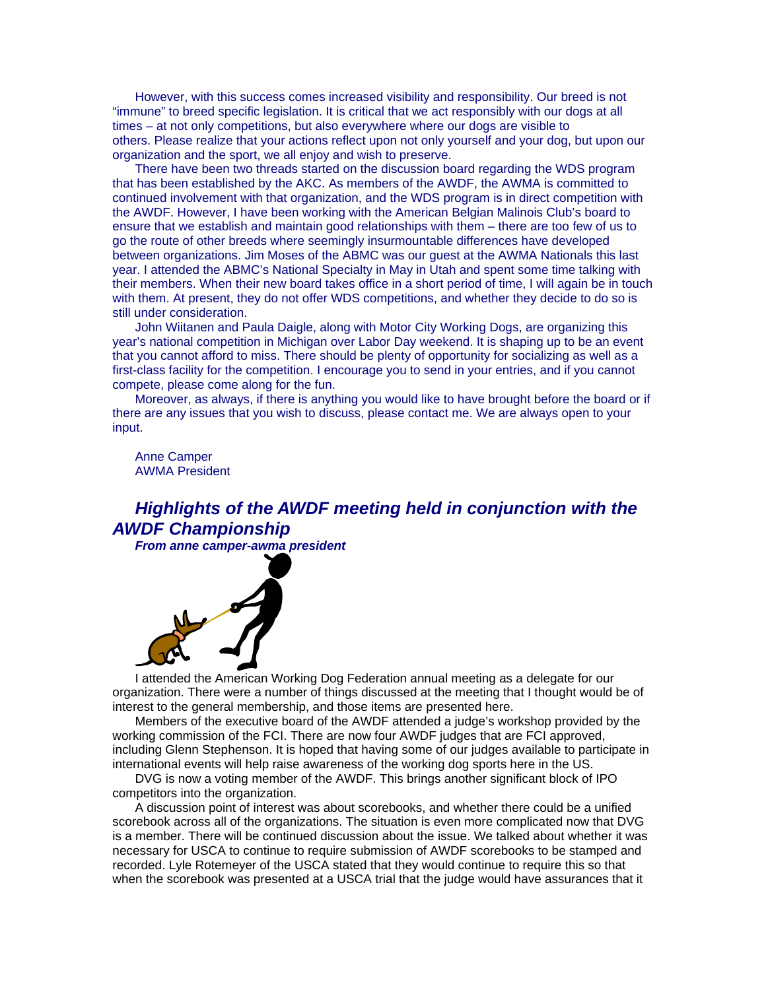However, with this success comes increased visibility and responsibility. Our breed is not "immune" to breed specific legislation. It is critical that we act responsibly with our dogs at all times – at not only competitions, but also everywhere where our dogs are visible to others. Please realize that your actions reflect upon not only yourself and your dog, but upon our organization and the sport, we all enjoy and wish to preserve.

There have been two threads started on the discussion board regarding the WDS program that has been established by the AKC. As members of the AWDF, the AWMA is committed to continued involvement with that organization, and the WDS program is in direct competition with the AWDF. However, I have been working with the American Belgian Malinois Club's board to ensure that we establish and maintain good relationships with them – there are too few of us to go the route of other breeds where seemingly insurmountable differences have developed between organizations. Jim Moses of the ABMC was our guest at the AWMA Nationals this last year. I attended the ABMC's National Specialty in May in Utah and spent some time talking with their members. When their new board takes office in a short period of time, I will again be in touch with them. At present, they do not offer WDS competitions, and whether they decide to do so is still under consideration.

John Wiitanen and Paula Daigle, along with Motor City Working Dogs, are organizing this year's national competition in Michigan over Labor Day weekend. It is shaping up to be an event that you cannot afford to miss. There should be plenty of opportunity for socializing as well as a first-class facility for the competition. I encourage you to send in your entries, and if you cannot compete, please come along for the fun.

Moreover, as always, if there is anything you would like to have brought before the board or if there are any issues that you wish to discuss, please contact me. We are always open to your input.

Anne Camper AWMA President

*Highlights of the AWDF meeting held in conjunction with the AWDF Championship* 

*From anne camper-awma president* 



I attended the American Working Dog Federation annual meeting as a delegate for our organization. There were a number of things discussed at the meeting that I thought would be of interest to the general membership, and those items are presented here.

Members of the executive board of the AWDF attended a judge's workshop provided by the working commission of the FCI. There are now four AWDF judges that are FCI approved, including Glenn Stephenson. It is hoped that having some of our judges available to participate in international events will help raise awareness of the working dog sports here in the US.

DVG is now a voting member of the AWDF. This brings another significant block of IPO competitors into the organization.

A discussion point of interest was about scorebooks, and whether there could be a unified scorebook across all of the organizations. The situation is even more complicated now that DVG is a member. There will be continued discussion about the issue. We talked about whether it was necessary for USCA to continue to require submission of AWDF scorebooks to be stamped and recorded. Lyle Rotemeyer of the USCA stated that they would continue to require this so that when the scorebook was presented at a USCA trial that the judge would have assurances that it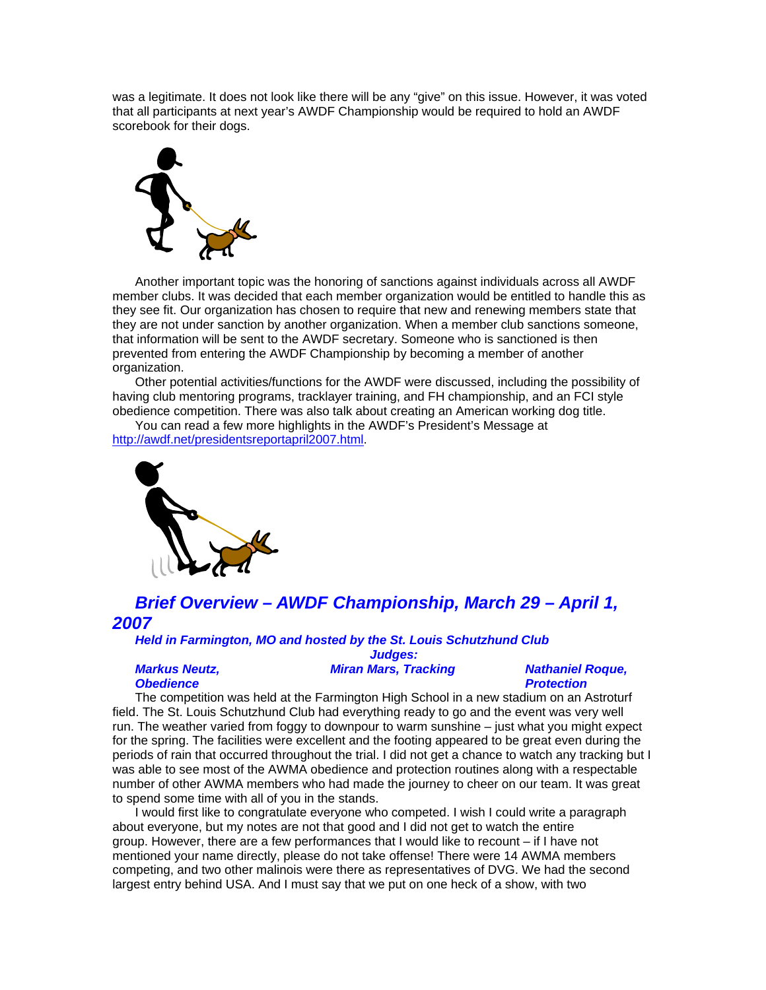was a legitimate. It does not look like there will be any "give" on this issue. However, it was voted that all participants at next year's AWDF Championship would be required to hold an AWDF scorebook for their dogs.



Another important topic was the honoring of sanctions against individuals across all AWDF member clubs. It was decided that each member organization would be entitled to handle this as they see fit. Our organization has chosen to require that new and renewing members state that they are not under sanction by another organization. When a member club sanctions someone, that information will be sent to the AWDF secretary. Someone who is sanctioned is then prevented from entering the AWDF Championship by becoming a member of another organization.

Other potential activities/functions for the AWDF were discussed, including the possibility of having club mentoring programs, tracklayer training, and FH championship, and an FCI style obedience competition. There was also talk about creating an American working dog title.

You can read a few more highlights in the AWDF's President's Message at http://awdf.net/presidentsreportapril2007.html.



*Brief Overview – AWDF Championship, March 29 – April 1, 2007* 

*Held in Farmington, MO and hosted by the St. Louis Schutzhund Club Judges:* 

#### *Markus Neutz, Obedience*

*Miran Mars, Tracking* Nathaniel Roque,

# *Protection*

The competition was held at the Farmington High School in a new stadium on an Astroturf field. The St. Louis Schutzhund Club had everything ready to go and the event was very well run. The weather varied from foggy to downpour to warm sunshine – just what you might expect for the spring. The facilities were excellent and the footing appeared to be great even during the periods of rain that occurred throughout the trial. I did not get a chance to watch any tracking but I was able to see most of the AWMA obedience and protection routines along with a respectable number of other AWMA members who had made the journey to cheer on our team. It was great to spend some time with all of you in the stands.

I would first like to congratulate everyone who competed. I wish I could write a paragraph about everyone, but my notes are not that good and I did not get to watch the entire group. However, there are a few performances that I would like to recount – if I have not mentioned your name directly, please do not take offense! There were 14 AWMA members competing, and two other malinois were there as representatives of DVG. We had the second largest entry behind USA. And I must say that we put on one heck of a show, with two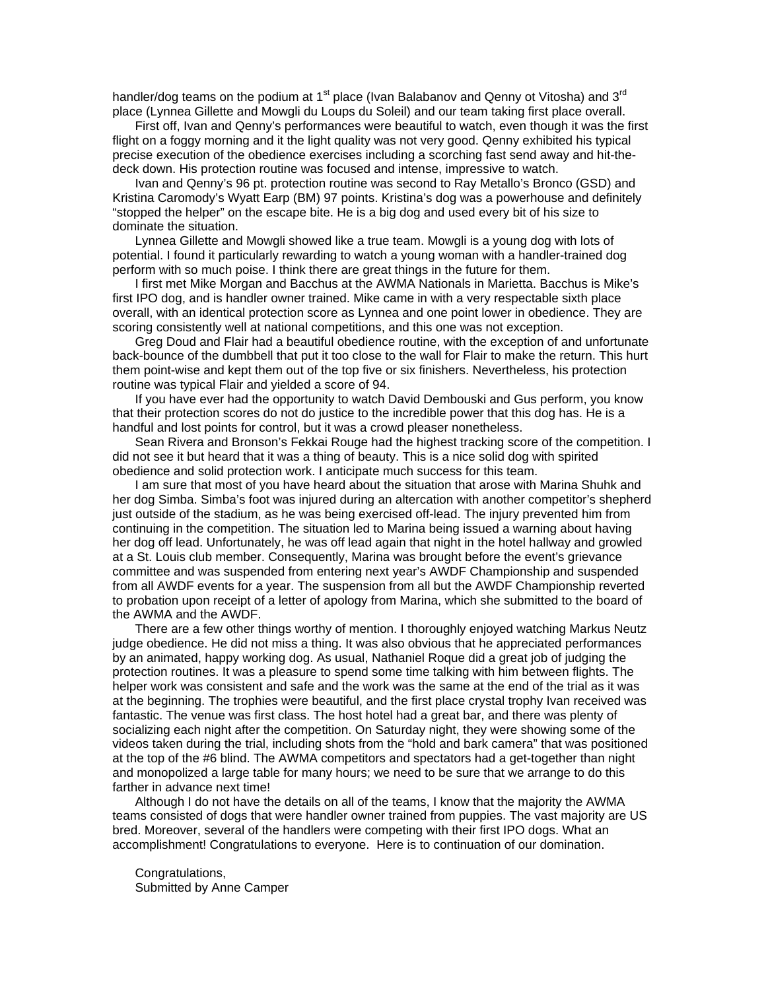handler/dog teams on the podium at 1<sup>st</sup> place (Ivan Balabanov and Qenny ot Vitosha) and 3<sup>rd</sup> place (Lynnea Gillette and Mowgli du Loups du Soleil) and our team taking first place overall.

First off, Ivan and Qenny's performances were beautiful to watch, even though it was the first flight on a foggy morning and it the light quality was not very good. Qenny exhibited his typical precise execution of the obedience exercises including a scorching fast send away and hit-thedeck down. His protection routine was focused and intense, impressive to watch.

Ivan and Qenny's 96 pt. protection routine was second to Ray Metallo's Bronco (GSD) and Kristina Caromody's Wyatt Earp (BM) 97 points. Kristina's dog was a powerhouse and definitely "stopped the helper" on the escape bite. He is a big dog and used every bit of his size to dominate the situation.

Lynnea Gillette and Mowgli showed like a true team. Mowgli is a young dog with lots of potential. I found it particularly rewarding to watch a young woman with a handler-trained dog perform with so much poise. I think there are great things in the future for them.

I first met Mike Morgan and Bacchus at the AWMA Nationals in Marietta. Bacchus is Mike's first IPO dog, and is handler owner trained. Mike came in with a very respectable sixth place overall, with an identical protection score as Lynnea and one point lower in obedience. They are scoring consistently well at national competitions, and this one was not exception.

Greg Doud and Flair had a beautiful obedience routine, with the exception of and unfortunate back-bounce of the dumbbell that put it too close to the wall for Flair to make the return. This hurt them point-wise and kept them out of the top five or six finishers. Nevertheless, his protection routine was typical Flair and yielded a score of 94.

If you have ever had the opportunity to watch David Dembouski and Gus perform, you know that their protection scores do not do justice to the incredible power that this dog has. He is a handful and lost points for control, but it was a crowd pleaser nonetheless.

Sean Rivera and Bronson's Fekkai Rouge had the highest tracking score of the competition. I did not see it but heard that it was a thing of beauty. This is a nice solid dog with spirited obedience and solid protection work. I anticipate much success for this team.

I am sure that most of you have heard about the situation that arose with Marina Shuhk and her dog Simba. Simba's foot was injured during an altercation with another competitor's shepherd just outside of the stadium, as he was being exercised off-lead. The injury prevented him from continuing in the competition. The situation led to Marina being issued a warning about having her dog off lead. Unfortunately, he was off lead again that night in the hotel hallway and growled at a St. Louis club member. Consequently, Marina was brought before the event's grievance committee and was suspended from entering next year's AWDF Championship and suspended from all AWDF events for a year. The suspension from all but the AWDF Championship reverted to probation upon receipt of a letter of apology from Marina, which she submitted to the board of the AWMA and the AWDF.

There are a few other things worthy of mention. I thoroughly enjoyed watching Markus Neutz judge obedience. He did not miss a thing. It was also obvious that he appreciated performances by an animated, happy working dog. As usual, Nathaniel Roque did a great job of judging the protection routines. It was a pleasure to spend some time talking with him between flights. The helper work was consistent and safe and the work was the same at the end of the trial as it was at the beginning. The trophies were beautiful, and the first place crystal trophy Ivan received was fantastic. The venue was first class. The host hotel had a great bar, and there was plenty of socializing each night after the competition. On Saturday night, they were showing some of the videos taken during the trial, including shots from the "hold and bark camera" that was positioned at the top of the #6 blind. The AWMA competitors and spectators had a get-together than night and monopolized a large table for many hours; we need to be sure that we arrange to do this farther in advance next time!

Although I do not have the details on all of the teams, I know that the majority the AWMA teams consisted of dogs that were handler owner trained from puppies. The vast majority are US bred. Moreover, several of the handlers were competing with their first IPO dogs. What an accomplishment! Congratulations to everyone. Here is to continuation of our domination.

Congratulations, Submitted by Anne Camper